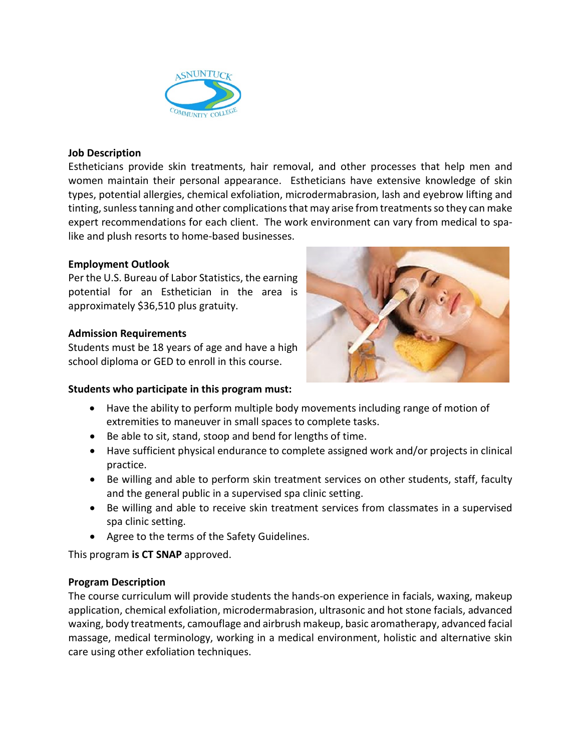

### **Job Description**

Estheticians provide skin treatments, hair removal, and other processes that help men and women maintain their personal appearance. Estheticians have extensive knowledge of skin types, potential allergies, chemical exfoliation, microdermabrasion, lash and eyebrow lifting and tinting, sunless tanning and other complications that may arise from treatments so they can make expert recommendations for each client. The work environment can vary from medical to spalike and plush resorts to home-based businesses.

# **Employment Outlook**

Per the U.S. Bureau of Labor Statistics, the earning potential for an Esthetician in the area is approximately \$36,510 plus gratuity.

### **Admission Requirements**

Students must be 18 years of age and have a high school diploma or GED to enroll in this course.



# **Students who participate in this program must:**

- Have the ability to perform multiple body movements including range of motion of extremities to maneuver in small spaces to complete tasks.
- Be able to sit, stand, stoop and bend for lengths of time.
- Have sufficient physical endurance to complete assigned work and/or projects in clinical practice.
- Be willing and able to perform skin treatment services on other students, staff, faculty and the general public in a supervised spa clinic setting.
- Be willing and able to receive skin treatment services from classmates in a supervised spa clinic setting.
- Agree to the terms of the Safety Guidelines.

This program **is CT SNAP** approved.

# **Program Description**

The course curriculum will provide students the hands-on experience in facials, waxing, makeup application, chemical exfoliation, microdermabrasion, ultrasonic and hot stone facials, advanced waxing, body treatments, camouflage and airbrush makeup, basic aromatherapy, advanced facial massage, medical terminology, working in a medical environment, holistic and alternative skin care using other exfoliation techniques.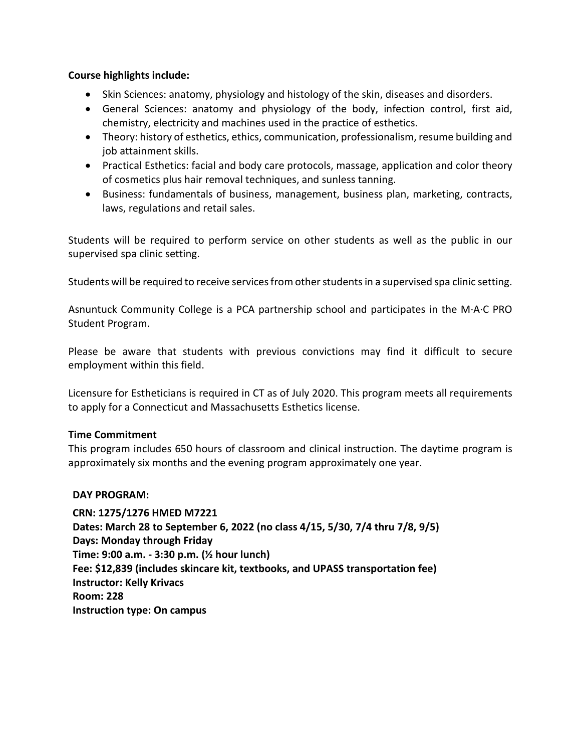# **Course highlights include:**

- Skin Sciences: anatomy, physiology and histology of the skin, diseases and disorders.
- General Sciences: anatomy and physiology of the body, infection control, first aid, chemistry, electricity and machines used in the practice of esthetics.
- Theory: history of esthetics, ethics, communication, professionalism, resume building and job attainment skills.
- Practical Esthetics: facial and body care protocols, massage, application and color theory of cosmetics plus hair removal techniques, and sunless tanning.
- Business: fundamentals of business, management, business plan, marketing, contracts, laws, regulations and retail sales.

Students will be required to perform service on other students as well as the public in our supervised spa clinic setting.

Students will be required to receive services from other students in a supervised spa clinic setting.

Asnuntuck Community College is a PCA partnership school and participates in the M·A·C PRO Student Program.

Please be aware that students with previous convictions may find it difficult to secure employment within this field.

Licensure for Estheticians is required in CT as of July 2020. This program meets all requirements to apply for a Connecticut and Massachusetts Esthetics license.

#### **Time Commitment**

This program includes 650 hours of classroom and clinical instruction. The daytime program is approximately six months and the evening program approximately one year.

#### **DAY PROGRAM:**

**CRN: 1275/1276 HMED M7221 Dates: March 28 to September 6, 2022 (no class 4/15, 5/30, 7/4 thru 7/8, 9/5) Days: Monday through Friday Time: 9:00 a.m. - 3:30 p.m. (½ hour lunch) Fee: \$12,839 (includes skincare kit, textbooks, and UPASS transportation fee) Instructor: Kelly Krivacs Room: 228 Instruction type: On campus**